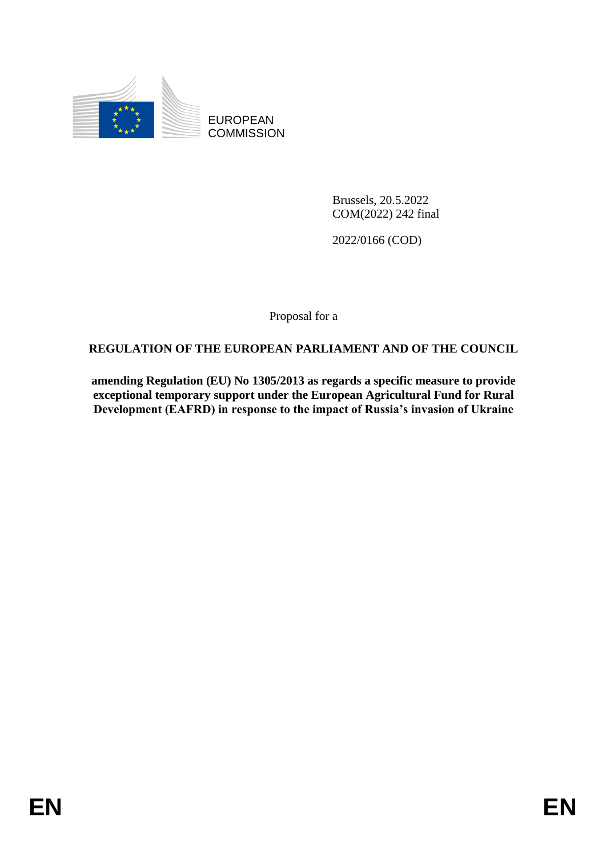

EUROPEAN **COMMISSION** 

> Brussels, 20.5.2022 COM(2022) 242 final

2022/0166 (COD)

Proposal for a

# **REGULATION OF THE EUROPEAN PARLIAMENT AND OF THE COUNCIL**

**amending Regulation (EU) No 1305/2013 as regards a specific measure to provide exceptional temporary support under the European Agricultural Fund for Rural Development (EAFRD) in response to the impact of Russia's invasion of Ukraine**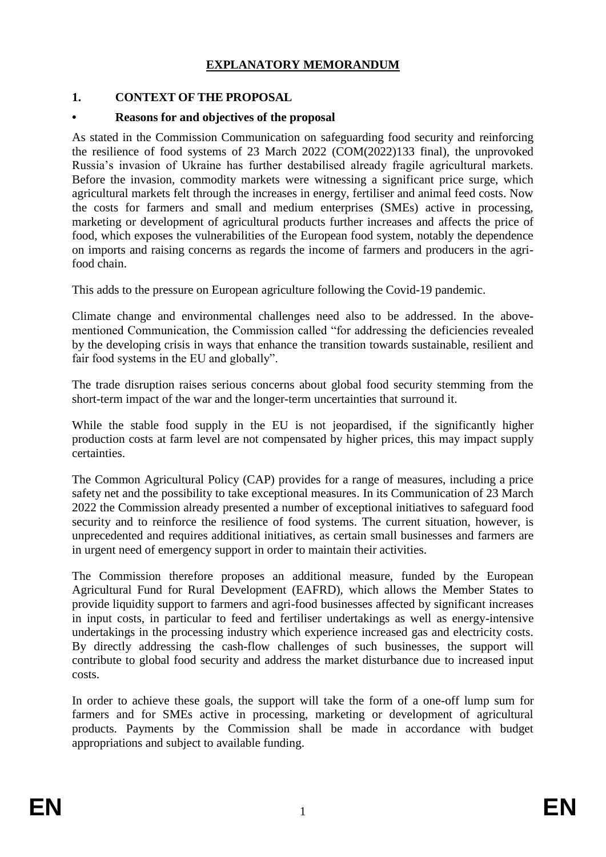# **EXPLANATORY MEMORANDUM**

### **1. CONTEXT OF THE PROPOSAL**

### **• Reasons for and objectives of the proposal**

As stated in the Commission Communication on safeguarding food security and reinforcing the resilience of food systems of 23 March 2022 (COM(2022)133 final), the unprovoked Russia's invasion of Ukraine has further destabilised already fragile agricultural markets. Before the invasion, commodity markets were witnessing a significant price surge, which agricultural markets felt through the increases in energy, fertiliser and animal feed costs. Now the costs for farmers and small and medium enterprises (SMEs) active in processing, marketing or development of agricultural products further increases and affects the price of food, which exposes the vulnerabilities of the European food system, notably the dependence on imports and raising concerns as regards the income of farmers and producers in the agrifood chain.

This adds to the pressure on European agriculture following the Covid-19 pandemic.

Climate change and environmental challenges need also to be addressed. In the abovementioned Communication, the Commission called "for addressing the deficiencies revealed by the developing crisis in ways that enhance the transition towards sustainable, resilient and fair food systems in the EU and globally".

The trade disruption raises serious concerns about global food security stemming from the short-term impact of the war and the longer-term uncertainties that surround it.

While the stable food supply in the EU is not jeopardised, if the significantly higher production costs at farm level are not compensated by higher prices, this may impact supply certainties.

The Common Agricultural Policy (CAP) provides for a range of measures, including a price safety net and the possibility to take exceptional measures. In its Communication of 23 March 2022 the Commission already presented a number of exceptional initiatives to safeguard food security and to reinforce the resilience of food systems. The current situation, however, is unprecedented and requires additional initiatives, as certain small businesses and farmers are in urgent need of emergency support in order to maintain their activities.

The Commission therefore proposes an additional measure, funded by the European Agricultural Fund for Rural Development (EAFRD), which allows the Member States to provide liquidity support to farmers and agri-food businesses affected by significant increases in input costs, in particular to feed and fertiliser undertakings as well as energy-intensive undertakings in the processing industry which experience increased gas and electricity costs. By directly addressing the cash-flow challenges of such businesses, the support will contribute to global food security and address the market disturbance due to increased input costs.

In order to achieve these goals, the support will take the form of a one-off lump sum for farmers and for SMEs active in processing, marketing or development of agricultural products. Payments by the Commission shall be made in accordance with budget appropriations and subject to available funding.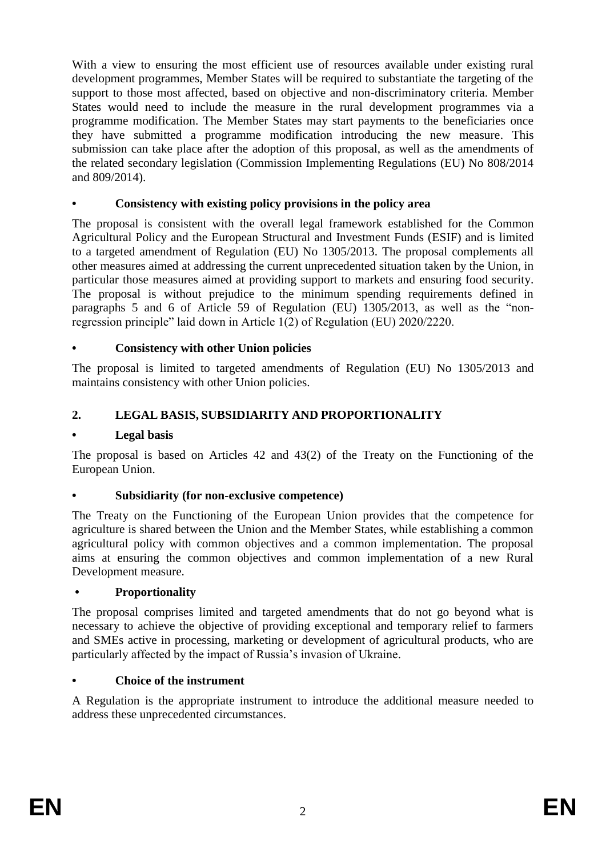With a view to ensuring the most efficient use of resources available under existing rural development programmes, Member States will be required to substantiate the targeting of the support to those most affected, based on objective and non-discriminatory criteria. Member States would need to include the measure in the rural development programmes via a programme modification. The Member States may start payments to the beneficiaries once they have submitted a programme modification introducing the new measure. This submission can take place after the adoption of this proposal, as well as the amendments of the related secondary legislation (Commission Implementing Regulations (EU) No 808/2014 and 809/2014).

### **• Consistency with existing policy provisions in the policy area**

The proposal is consistent with the overall legal framework established for the Common Agricultural Policy and the European Structural and Investment Funds (ESIF) and is limited to a targeted amendment of Regulation (EU) No 1305/2013. The proposal complements all other measures aimed at addressing the current unprecedented situation taken by the Union, in particular those measures aimed at providing support to markets and ensuring food security. The proposal is without prejudice to the minimum spending requirements defined in paragraphs 5 and 6 of Article 59 of Regulation (EU) 1305/2013, as well as the "nonregression principle" laid down in Article 1(2) of Regulation (EU) 2020/2220.

### **• Consistency with other Union policies**

The proposal is limited to targeted amendments of Regulation (EU) No 1305/2013 and maintains consistency with other Union policies.

### **2. LEGAL BASIS, SUBSIDIARITY AND PROPORTIONALITY**

#### **• Legal basis**

The proposal is based on Articles 42 and 43(2) of the Treaty on the Functioning of the European Union.

#### **• Subsidiarity (for non-exclusive competence)**

The Treaty on the Functioning of the European Union provides that the competence for agriculture is shared between the Union and the Member States, while establishing a common agricultural policy with common objectives and a common implementation. The proposal aims at ensuring the common objectives and common implementation of a new Rural Development measure.

#### **• Proportionality**

The proposal comprises limited and targeted amendments that do not go beyond what is necessary to achieve the objective of providing exceptional and temporary relief to farmers and SMEs active in processing, marketing or development of agricultural products, who are particularly affected by the impact of Russia's invasion of Ukraine.

#### **• Choice of the instrument**

A Regulation is the appropriate instrument to introduce the additional measure needed to address these unprecedented circumstances.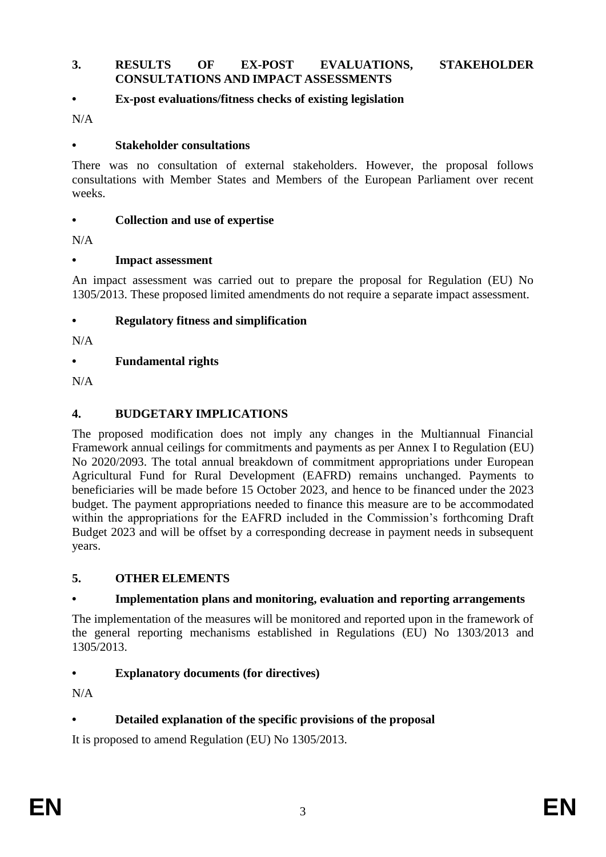#### **3. RESULTS OF EX-POST EVALUATIONS, STAKEHOLDER CONSULTATIONS AND IMPACT ASSESSMENTS**

### **• Ex-post evaluations/fitness checks of existing legislation**

 $N/A$ 

#### **• Stakeholder consultations**

There was no consultation of external stakeholders. However, the proposal follows consultations with Member States and Members of the European Parliament over recent weeks.

#### **• Collection and use of expertise**

N/A

#### **• Impact assessment**

An impact assessment was carried out to prepare the proposal for Regulation (EU) No 1305/2013. These proposed limited amendments do not require a separate impact assessment.

#### **• Regulatory fitness and simplification**

N/A

#### **• Fundamental rights**

N/A

### **4. BUDGETARY IMPLICATIONS**

The proposed modification does not imply any changes in the Multiannual Financial Framework annual ceilings for commitments and payments as per Annex I to Regulation (EU) No 2020/2093. The total annual breakdown of commitment appropriations under European Agricultural Fund for Rural Development (EAFRD) remains unchanged. Payments to beneficiaries will be made before 15 October 2023, and hence to be financed under the 2023 budget. The payment appropriations needed to finance this measure are to be accommodated within the appropriations for the EAFRD included in the Commission's forthcoming Draft Budget 2023 and will be offset by a corresponding decrease in payment needs in subsequent years.

#### **5. OTHER ELEMENTS**

#### **• Implementation plans and monitoring, evaluation and reporting arrangements**

The implementation of the measures will be monitored and reported upon in the framework of the general reporting mechanisms established in Regulations (EU) No 1303/2013 and 1305/2013.

#### **• Explanatory documents (for directives)**

N/A

### **• Detailed explanation of the specific provisions of the proposal**

It is proposed to amend Regulation (EU) No 1305/2013.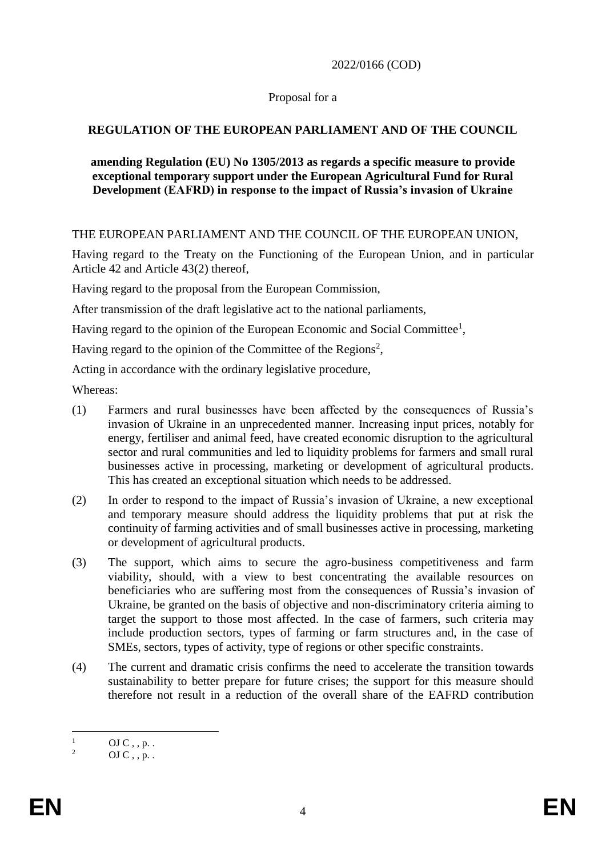2022/0166 (COD)

### Proposal for a

# **REGULATION OF THE EUROPEAN PARLIAMENT AND OF THE COUNCIL**

### **amending Regulation (EU) No 1305/2013 as regards a specific measure to provide exceptional temporary support under the European Agricultural Fund for Rural Development (EAFRD) in response to the impact of Russia's invasion of Ukraine**

### THE EUROPEAN PARLIAMENT AND THE COUNCIL OF THE EUROPEAN UNION,

Having regard to the Treaty on the Functioning of the European Union, and in particular Article 42 and Article 43(2) thereof,

Having regard to the proposal from the European Commission,

After transmission of the draft legislative act to the national parliaments,

Having regard to the opinion of the European Economic and Social Committee<sup>1</sup>,

Having regard to the opinion of the Committee of the Regions<sup>2</sup>,

Acting in accordance with the ordinary legislative procedure,

Whereas:

- (1) Farmers and rural businesses have been affected by the consequences of Russia's invasion of Ukraine in an unprecedented manner. Increasing input prices, notably for energy, fertiliser and animal feed, have created economic disruption to the agricultural sector and rural communities and led to liquidity problems for farmers and small rural businesses active in processing, marketing or development of agricultural products. This has created an exceptional situation which needs to be addressed.
- (2) In order to respond to the impact of Russia's invasion of Ukraine, a new exceptional and temporary measure should address the liquidity problems that put at risk the continuity of farming activities and of small businesses active in processing, marketing or development of agricultural products.
- (3) The support, which aims to secure the agro-business competitiveness and farm viability, should, with a view to best concentrating the available resources on beneficiaries who are suffering most from the consequences of Russia's invasion of Ukraine, be granted on the basis of objective and non-discriminatory criteria aiming to target the support to those most affected. In the case of farmers, such criteria may include production sectors, types of farming or farm structures and, in the case of SMEs, sectors, types of activity, type of regions or other specific constraints.
- (4) The current and dramatic crisis confirms the need to accelerate the transition towards sustainability to better prepare for future crises; the support for this measure should therefore not result in a reduction of the overall share of the EAFRD contribution

 $\overline{1}$  $\frac{1}{2}$  OJ C, , p. .

OJ  $C$  , , p. .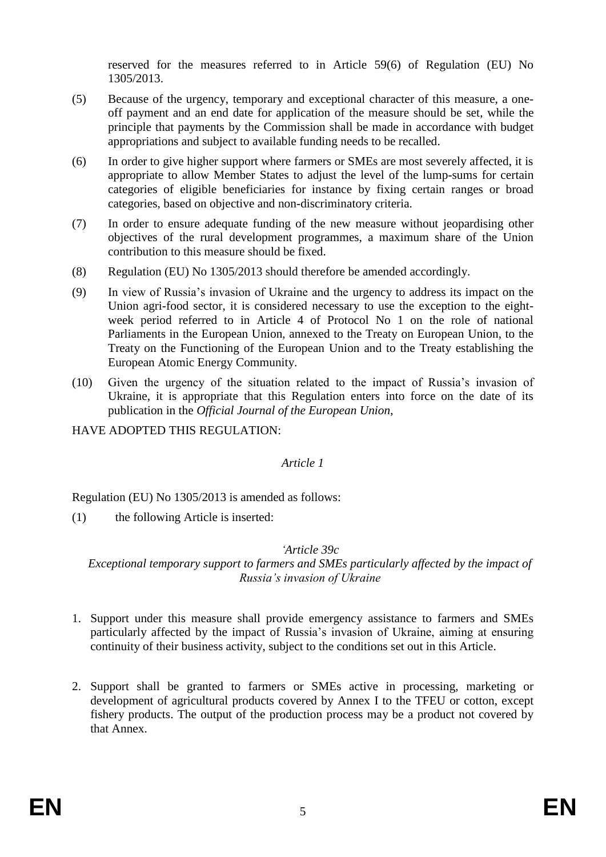reserved for the measures referred to in Article 59(6) of Regulation (EU) No 1305/2013.

- (5) Because of the urgency, temporary and exceptional character of this measure, a oneoff payment and an end date for application of the measure should be set, while the principle that payments by the Commission shall be made in accordance with budget appropriations and subject to available funding needs to be recalled.
- (6) In order to give higher support where farmers or SMEs are most severely affected, it is appropriate to allow Member States to adjust the level of the lump-sums for certain categories of eligible beneficiaries for instance by fixing certain ranges or broad categories, based on objective and non-discriminatory criteria.
- (7) In order to ensure adequate funding of the new measure without jeopardising other objectives of the rural development programmes, a maximum share of the Union contribution to this measure should be fixed.
- (8) Regulation (EU) No 1305/2013 should therefore be amended accordingly.
- (9) In view of Russia's invasion of Ukraine and the urgency to address its impact on the Union agri-food sector, it is considered necessary to use the exception to the eightweek period referred to in Article 4 of Protocol No 1 on the role of national Parliaments in the European Union, annexed to the Treaty on European Union, to the Treaty on the Functioning of the European Union and to the Treaty establishing the European Atomic Energy Community.
- (10) Given the urgency of the situation related to the impact of Russia's invasion of Ukraine, it is appropriate that this Regulation enters into force on the date of its publication in the *Official Journal of the European Union*,

HAVE ADOPTED THIS REGULATION:

#### *Article 1*

Regulation (EU) No 1305/2013 is amended as follows:

(1) the following Article is inserted:

#### *'Article 39c*

*Exceptional temporary support to farmers and SMEs particularly affected by the impact of Russia's invasion of Ukraine*

- 1. Support under this measure shall provide emergency assistance to farmers and SMEs particularly affected by the impact of Russia's invasion of Ukraine, aiming at ensuring continuity of their business activity, subject to the conditions set out in this Article.
- 2. Support shall be granted to farmers or SMEs active in processing, marketing or development of agricultural products covered by Annex I to the TFEU or cotton, except fishery products. The output of the production process may be a product not covered by that Annex.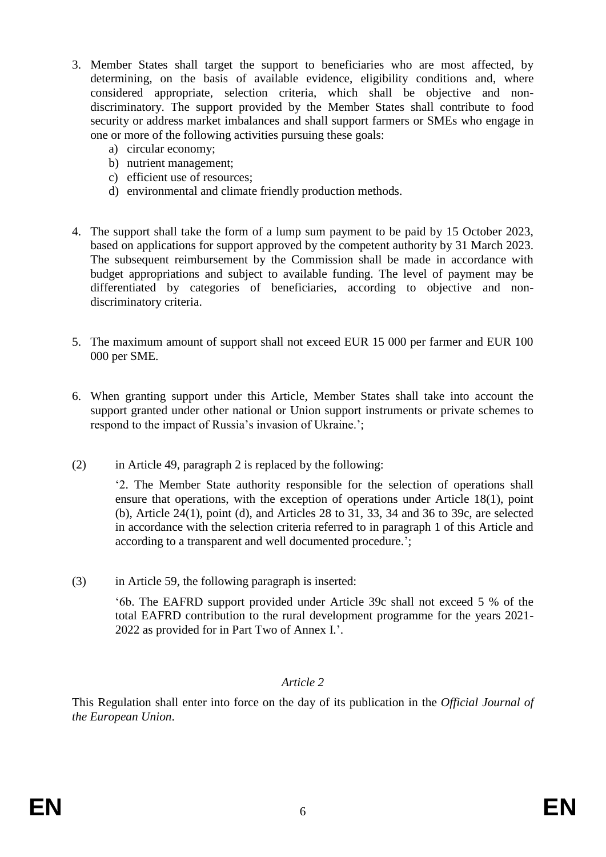- 3. Member States shall target the support to beneficiaries who are most affected, by determining, on the basis of available evidence, eligibility conditions and, where considered appropriate, selection criteria, which shall be objective and nondiscriminatory. The support provided by the Member States shall contribute to food security or address market imbalances and shall support farmers or SMEs who engage in one or more of the following activities pursuing these goals:
	- a) circular economy;
	- b) nutrient management;
	- c) efficient use of resources;
	- d) environmental and climate friendly production methods.
- 4. The support shall take the form of a lump sum payment to be paid by 15 October 2023, based on applications for support approved by the competent authority by 31 March 2023. The subsequent reimbursement by the Commission shall be made in accordance with budget appropriations and subject to available funding. The level of payment may be differentiated by categories of beneficiaries, according to objective and nondiscriminatory criteria.
- 5. The maximum amount of support shall not exceed EUR 15 000 per farmer and EUR 100 000 per SME.
- 6. When granting support under this Article, Member States shall take into account the support granted under other national or Union support instruments or private schemes to respond to the impact of Russia's invasion of Ukraine.';
- (2) in Article 49, paragraph 2 is replaced by the following:

'2. The Member State authority responsible for the selection of operations shall ensure that operations, with the exception of operations under Article 18(1), point (b), Article 24(1), point (d), and Articles 28 to 31, 33, 34 and 36 to 39c, are selected in accordance with the selection criteria referred to in paragraph 1 of this Article and according to a transparent and well documented procedure.';

(3) in Article 59, the following paragraph is inserted:

'6b. The EAFRD support provided under Article 39c shall not exceed 5 % of the total EAFRD contribution to the rural development programme for the years 2021- 2022 as provided for in Part Two of Annex I.'.

### *Article 2*

This Regulation shall enter into force on the day of its publication in the *Official Journal of the European Union*.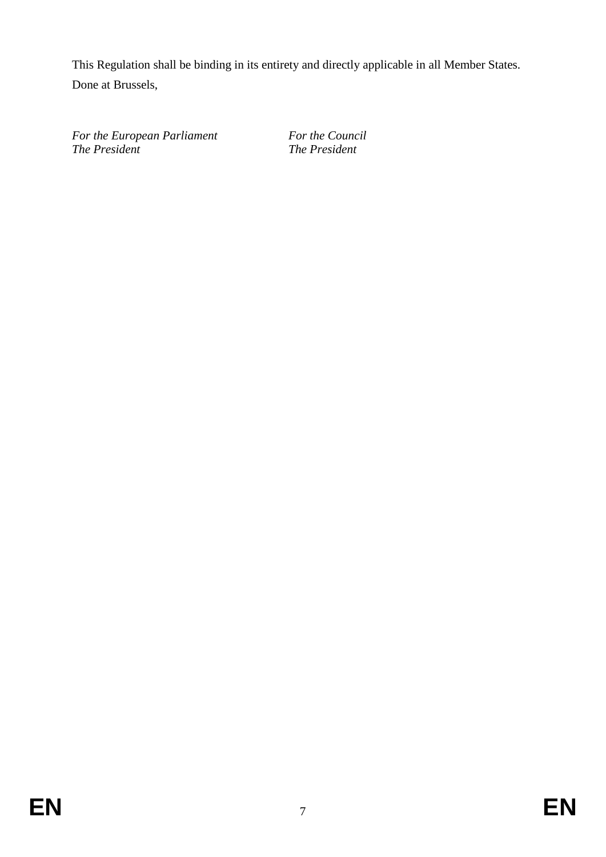This Regulation shall be binding in its entirety and directly applicable in all Member States. Done at Brussels,

*For the European Parliament For the Council The President The President*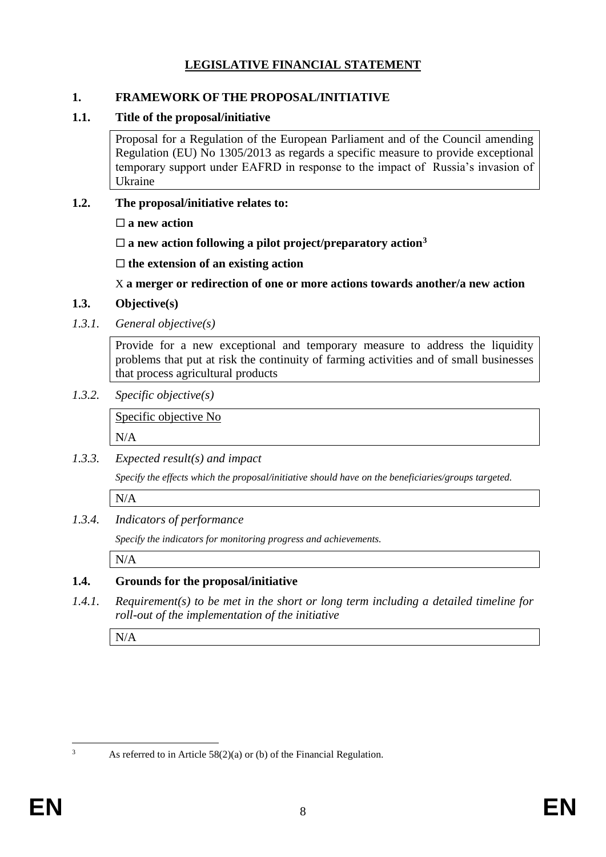# **LEGISLATIVE FINANCIAL STATEMENT**

### **1. FRAMEWORK OF THE PROPOSAL/INITIATIVE**

# **1.1. Title of the proposal/initiative**

Proposal for a Regulation of the European Parliament and of the Council amending Regulation (EU) No 1305/2013 as regards a specific measure to provide exceptional temporary support under EAFRD in response to the impact of Russia's invasion of Ukraine

# **1.2. The proposal/initiative relates to:**

**a new action**

 $\square$  a new action following a pilot project/preparatory action<sup>3</sup>

**the extension of an existing action**

X **a merger or redirection of one or more actions towards another/a new action**

# **1.3. Objective(s)**

*1.3.1. General objective(s)*

Provide for a new exceptional and temporary measure to address the liquidity problems that put at risk the continuity of farming activities and of small businesses that process agricultural products

*1.3.2. Specific objective(s)*

Specific objective No N/A

*1.3.3. Expected result(s) and impact*

*Specify the effects which the proposal/initiative should have on the beneficiaries/groups targeted.*

N/A

# *1.3.4. Indicators of performance*

*Specify the indicators for monitoring progress and achievements.*

N/A

# **1.4. Grounds for the proposal/initiative**

*1.4.1. Requirement(s) to be met in the short or long term including a detailed timeline for roll-out of the implementation of the initiative*

N/A

 $\overline{3}$ 

As referred to in Article  $58(2)(a)$  or (b) of the Financial Regulation.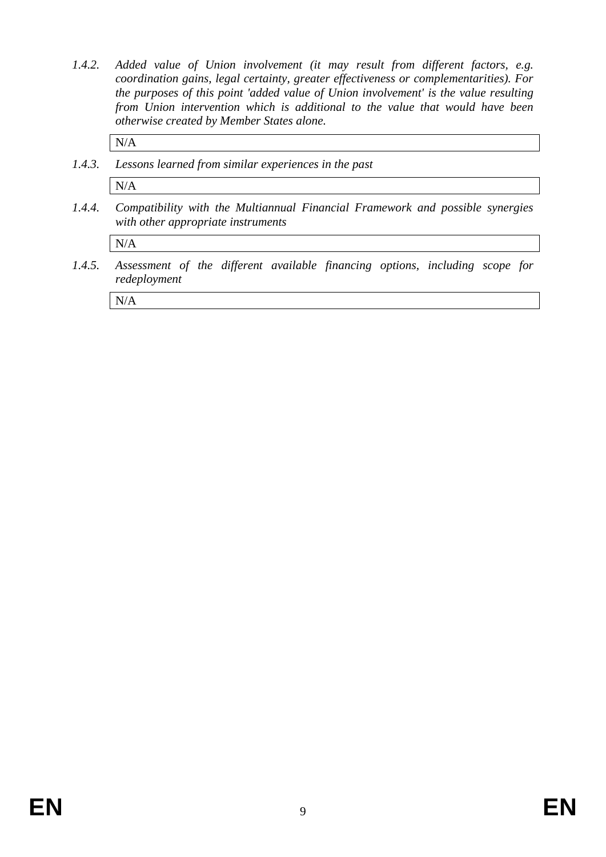*1.4.2. Added value of Union involvement (it may result from different factors, e.g. coordination gains, legal certainty, greater effectiveness or complementarities). For the purposes of this point 'added value of Union involvement' is the value resulting from Union intervention which is additional to the value that would have been otherwise created by Member States alone.*

N/A

*1.4.3. Lessons learned from similar experiences in the past*

N/A

*1.4.4. Compatibility with the Multiannual Financial Framework and possible synergies with other appropriate instruments*

N/A

*1.4.5. Assessment of the different available financing options, including scope for redeployment*

N/A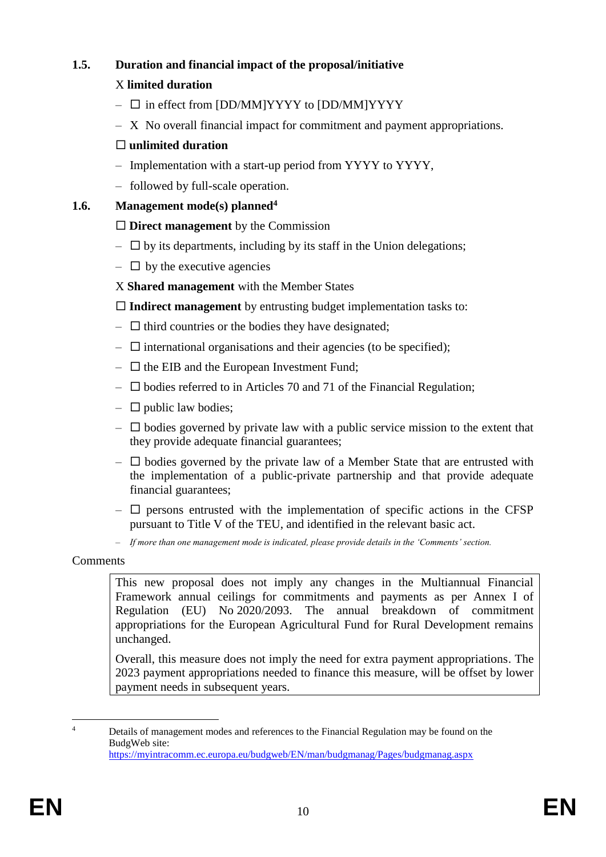# **1.5. Duration and financial impact of the proposal/initiative**

## X **limited duration**

- $\square$  in effect from [DD/MM]YYYY to [DD/MM]YYYY
- X No overall financial impact for commitment and payment appropriations.

# **unlimited duration**

- Implementation with a start-up period from YYYY to YYYY,
- followed by full-scale operation.

# **1.6. Management mode(s) planned<sup>4</sup>**

# **Direct management** by the Commission

- $\Box$  by its departments, including by its staff in the Union delegations;
- $\Box$  by the executive agencies
- X **Shared management** with the Member States

**Indirect management** by entrusting budget implementation tasks to:

- $\Box$  third countries or the bodies they have designated;
- $\Box$  international organisations and their agencies (to be specified);
- $\Box$  the EIB and the European Investment Fund;
- $\square$  bodies referred to in Articles 70 and 71 of the Financial Regulation;
- $\Box$  public law bodies;
- $\Box$  bodies governed by private law with a public service mission to the extent that they provide adequate financial guarantees;
- $\Box$  bodies governed by the private law of a Member State that are entrusted with the implementation of a public-private partnership and that provide adequate financial guarantees;
- $\Box$  persons entrusted with the implementation of specific actions in the CFSP pursuant to Title V of the TEU, and identified in the relevant basic act.
- *If more than one management mode is indicated, please provide details in the 'Comments' section.*

### Comments

This new proposal does not imply any changes in the Multiannual Financial Framework annual ceilings for commitments and payments as per Annex I of Regulation (EU) No 2020/2093. The annual breakdown of commitment appropriations for the European Agricultural Fund for Rural Development remains unchanged.

Overall, this measure does not imply the need for extra payment appropriations. The 2023 payment appropriations needed to finance this measure, will be offset by lower payment needs in subsequent years.

 $\overline{4}$ <sup>4</sup> Details of management modes and references to the Financial Regulation may be found on the BudgWeb site: <https://myintracomm.ec.europa.eu/budgweb/EN/man/budgmanag/Pages/budgmanag.aspx>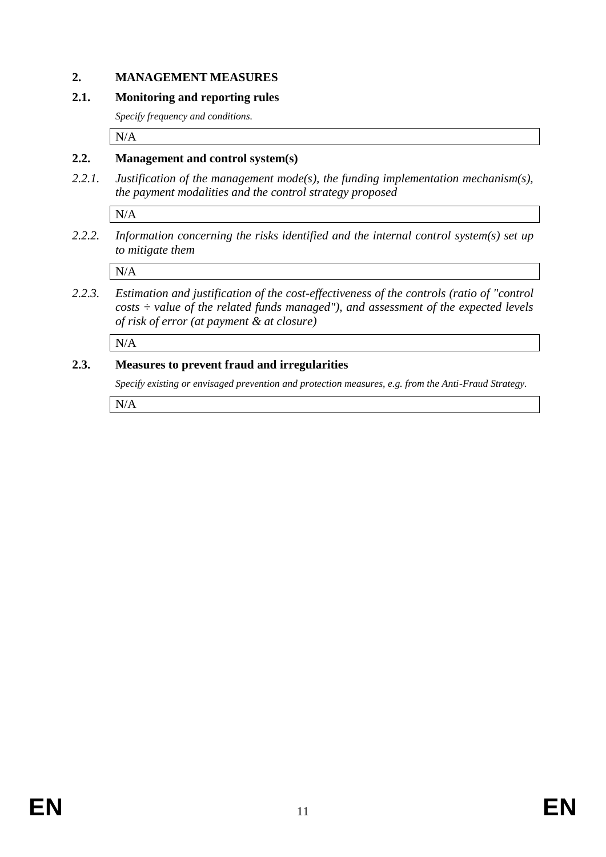### **2. MANAGEMENT MEASURES**

### **2.1. Monitoring and reporting rules**

*Specify frequency and conditions.*

N/A

## **2.2. Management and control system(s)**

*2.2.1. Justification of the management mode(s), the funding implementation mechanism(s), the payment modalities and the control strategy proposed*

N/A

*2.2.2. Information concerning the risks identified and the internal control system(s) set up to mitigate them*

N/A

*2.2.3. Estimation and justification of the cost-effectiveness of the controls (ratio of "control costs ÷ value of the related funds managed"), and assessment of the expected levels of risk of error (at payment & at closure)* 

N/A

# **2.3. Measures to prevent fraud and irregularities**

*Specify existing or envisaged prevention and protection measures, e.g. from the Anti-Fraud Strategy.*

N/A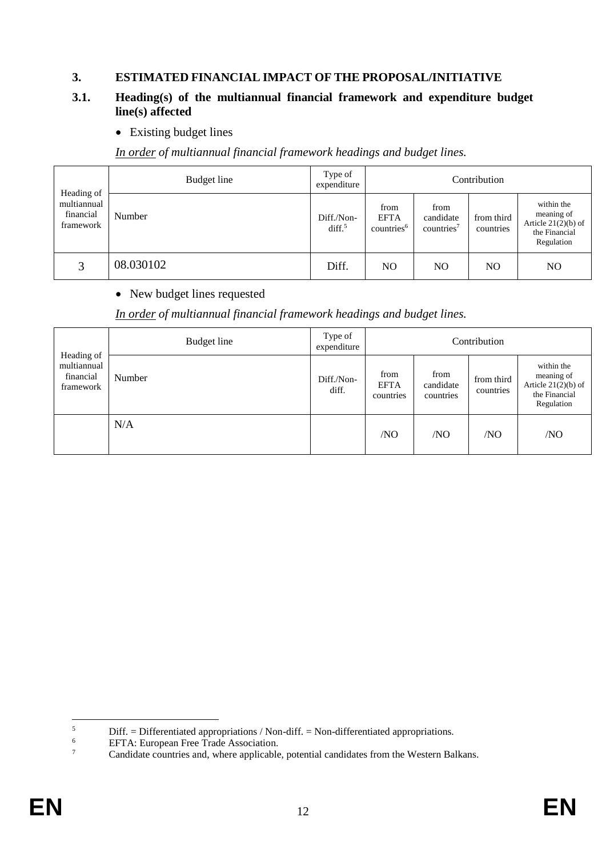### **3. ESTIMATED FINANCIAL IMPACT OF THE PROPOSAL/INITIATIVE**

### **3.1. Heading(s) of the multiannual financial framework and expenditure budget line(s) affected**

• Existing budget lines

*In order of multiannual financial framework headings and budget lines.*

| Heading of                            | Budget line   | Type of<br>expenditure          |                                               |                                             | Contribution            |                                                                                  |
|---------------------------------------|---------------|---------------------------------|-----------------------------------------------|---------------------------------------------|-------------------------|----------------------------------------------------------------------------------|
| multiannual<br>financial<br>framework | <b>Number</b> | Diff./Non-<br>diff <sup>5</sup> | from<br><b>EFTA</b><br>countries <sup>6</sup> | from<br>candidate<br>countries <sup>7</sup> | from third<br>countries | within the<br>meaning of<br>Article $21(2)(b)$ of<br>the Financial<br>Regulation |
| 3                                     | 08.030102     | Diff.                           | N <sub>O</sub>                                | N <sub>O</sub>                              | NO                      | N <sub>O</sub>                                                                   |

### • New budget lines requested

*In order of multiannual financial framework headings and budget lines.*

| Heading of                            | Budget line | Type of<br>expenditure |                                  |                                | Contribution            |                                                                                  |
|---------------------------------------|-------------|------------------------|----------------------------------|--------------------------------|-------------------------|----------------------------------------------------------------------------------|
| multiannual<br>financial<br>framework | Number      | Diff./Non-<br>diff.    | from<br><b>EFTA</b><br>countries | from<br>candidate<br>countries | from third<br>countries | within the<br>meaning of<br>Article $21(2)(b)$ of<br>the Financial<br>Regulation |
|                                       | N/A         |                        | /NO                              | /NO                            | /NO                     | /NO                                                                              |

 $\overline{5}$  $\frac{5}{6}$  Diff. = Differentiated appropriations / Non-diff. = Non-differentiated appropriations.

 $^{6}$  EFTA: European Free Trade Association.<br><sup>7</sup> Candidate countries and where applicable

<sup>7</sup> Candidate countries and, where applicable, potential candidates from the Western Balkans.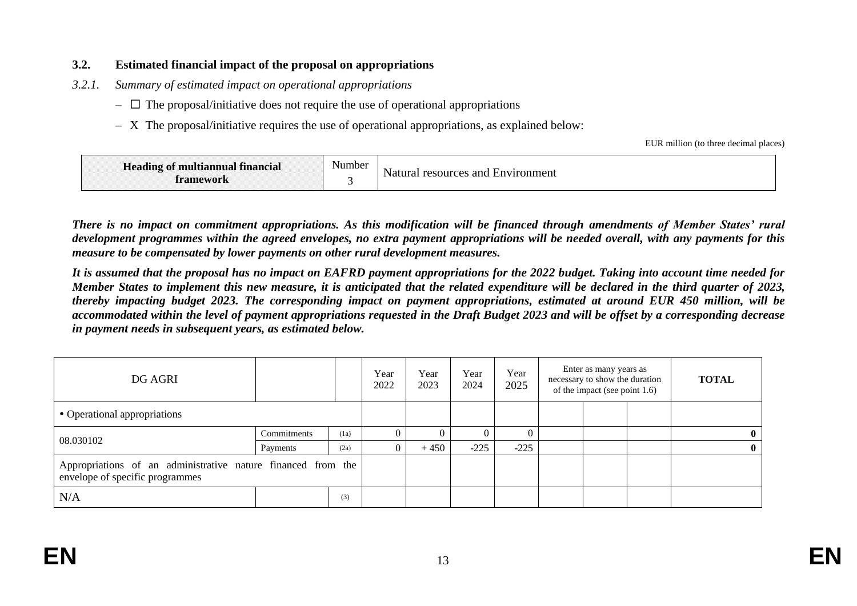### **3.2. Estimated financial impact of the proposal on appropriations**

- *3.2.1. Summary of estimated impact on operational appropriations* 
	- $\overline{\phantom{a}}$  The proposal/initiative does not require the use of operational appropriations
	- $X$  The proposal/initiative requires the use of operational appropriations, as explained below:

EUR million (to three decimal places)

| Heading of multiannual financial<br><b>ramework</b> | $\sim$ $\sim$<br>Number | resources and<br>t Environment<br>vatural |
|-----------------------------------------------------|-------------------------|-------------------------------------------|
|-----------------------------------------------------|-------------------------|-------------------------------------------|

*There is no impact on commitment appropriations. As this modification will be financed through amendments of Member States' rural development programmes within the agreed envelopes, no extra payment appropriations will be needed overall, with any payments for this measure to be compensated by lower payments on other rural development measures.* 

*It is assumed that the proposal has no impact on EAFRD payment appropriations for the 2022 budget. Taking into account time needed for Member States to implement this new measure, it is anticipated that the related expenditure will be declared in the third quarter of 2023, thereby impacting budget 2023. The corresponding impact on payment appropriations, estimated at around EUR 450 million, will be accommodated within the level of payment appropriations requested in the Draft Budget 2023 and will be offset by a corresponding decrease in payment needs in subsequent years, as estimated below.*

| DG AGRI                                                                                         |             |      | Year<br>2022   | Year<br>2023 | Year<br>2024 | Year<br>2025 | Enter as many years as<br>necessary to show the duration<br>of the impact (see point 1.6) | <b>TOTAL</b> |
|-------------------------------------------------------------------------------------------------|-------------|------|----------------|--------------|--------------|--------------|-------------------------------------------------------------------------------------------|--------------|
| • Operational appropriations                                                                    |             |      |                |              |              |              |                                                                                           |              |
| 08.030102                                                                                       | Commitments | (1a) | $\Omega$       |              |              | $\Omega$     |                                                                                           | $\mathbf{0}$ |
|                                                                                                 | Payments    | (2a) | $\overline{0}$ | $+450$       | $-225$       | $-225$       |                                                                                           | $\mathbf{0}$ |
| Appropriations of an administrative nature financed from the<br>envelope of specific programmes |             |      |                |              |              |              |                                                                                           |              |
| N/A                                                                                             |             | (3)  |                |              |              |              |                                                                                           |              |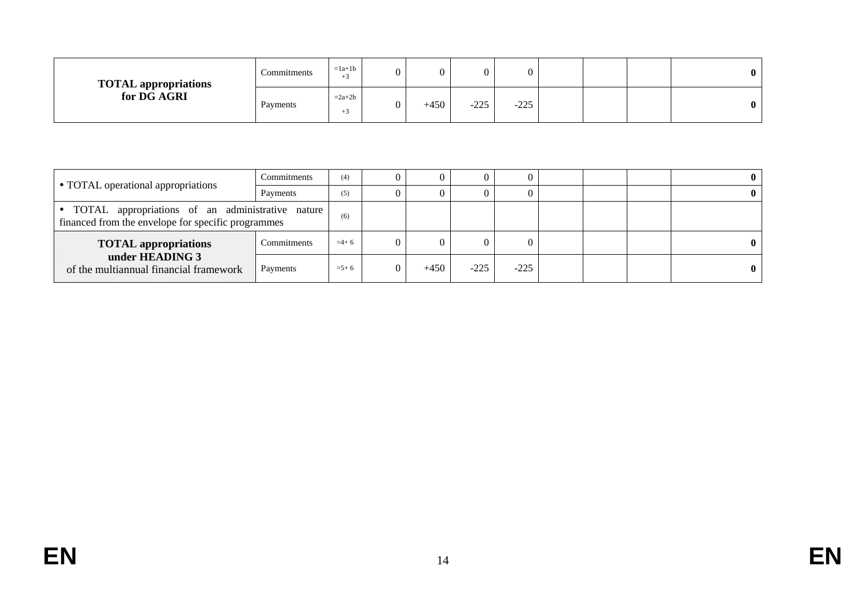| <b>TOTAL appropriations</b> | Commitments | $=1a+1b$<br>$+5$ | 0 |        |        | 0      |  | $\mathbf{0}$ |
|-----------------------------|-------------|------------------|---|--------|--------|--------|--|--------------|
| for DG AGRI                 | Payments    | $=2a+2b$<br>$+5$ | 0 | $+450$ | $-225$ | $-225$ |  | $\mathbf{0}$ |

|                                                                                                          | Commitments | (4)       |        |        |        |  |  |
|----------------------------------------------------------------------------------------------------------|-------------|-----------|--------|--------|--------|--|--|
| • TOTAL operational appropriations                                                                       | Payments    | (5)       |        |        |        |  |  |
| • TOTAL appropriations of an administrative nature<br>financed from the envelope for specific programmes | (6)         |           |        |        |        |  |  |
| Commitments<br><b>TOTAL appropriations</b>                                                               |             | $=4+6$    |        |        |        |  |  |
| under HEADING 3<br>of the multiannual financial framework                                                | Payments    | $= 5 + 6$ | $+450$ | $-225$ | $-225$ |  |  |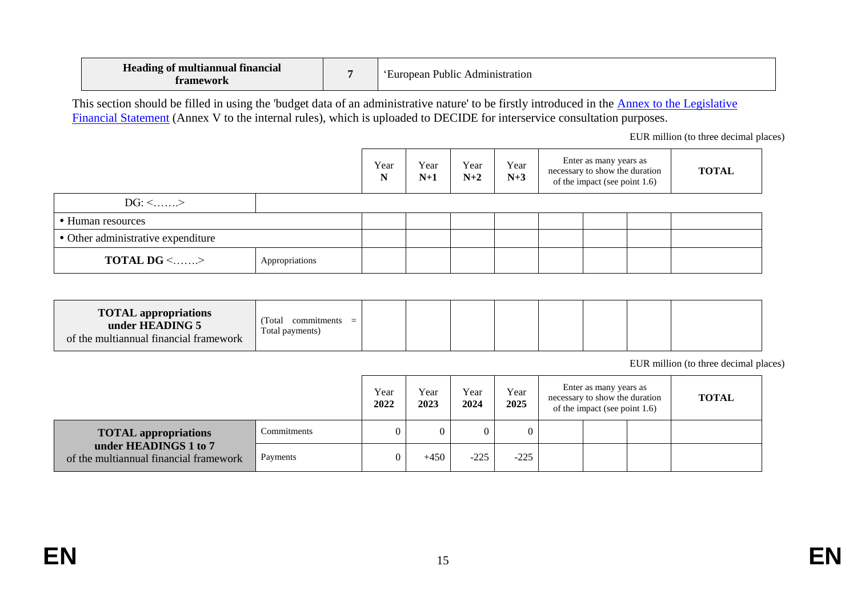| Heading of multiannual financial<br>tromawark |  | Public<br>Administration<br>uropean : |
|-----------------------------------------------|--|---------------------------------------|
|-----------------------------------------------|--|---------------------------------------|

This section should be filled in using the 'budget data of an administrative nature' to be firstly introduced in the Annex to the Legislative [Financial Statement](https://myintracomm.ec.europa.eu/budgweb/EN/leg/internal/Documents/2016-5-legislative-financial-statement-ann-en.docx) (Annex V to the internal rules), which is uploaded to DECIDE for interservice consultation purposes.

EUR million (to three decimal places)

|                                            | Year<br>N | Year<br>$N+1$ | Year<br>$N+2$ | Year<br>$N+3$ | Enter as many years as<br>necessary to show the duration<br>of the impact (see point 1.6) | <b>TOTAL</b> |  |
|--------------------------------------------|-----------|---------------|---------------|---------------|-------------------------------------------------------------------------------------------|--------------|--|
| $DG: \leq$ >                               |           |               |               |               |                                                                                           |              |  |
| • Human resources                          |           |               |               |               |                                                                                           |              |  |
| • Other administrative expenditure         |           |               |               |               |                                                                                           |              |  |
| <b>TOTAL DG &lt;&gt;</b><br>Appropriations |           |               |               |               |                                                                                           |              |  |

| <b>TOTAL appropriations</b><br>under HEADING 5<br>of the multiannual financial framework | Total<br>commitments<br>Total payments) |  |  |  |  |  |  |  |  |
|------------------------------------------------------------------------------------------|-----------------------------------------|--|--|--|--|--|--|--|--|
|------------------------------------------------------------------------------------------|-----------------------------------------|--|--|--|--|--|--|--|--|

EUR million (to three decimal places)

|                                                                 |             | Year<br>2022 | Year<br>2023 | Year<br>2024 | Year<br>2025 | Enter as many years as<br>necessary to show the duration<br>of the impact (see point 1.6) |  |  | <b>TOTAL</b> |
|-----------------------------------------------------------------|-------------|--------------|--------------|--------------|--------------|-------------------------------------------------------------------------------------------|--|--|--------------|
| <b>TOTAL appropriations</b>                                     | Commitments |              |              |              | 0            |                                                                                           |  |  |              |
| under HEADINGS 1 to 7<br>of the multiannual financial framework | Payments    |              | $+450$       | $-225$       | $-225$       |                                                                                           |  |  |              |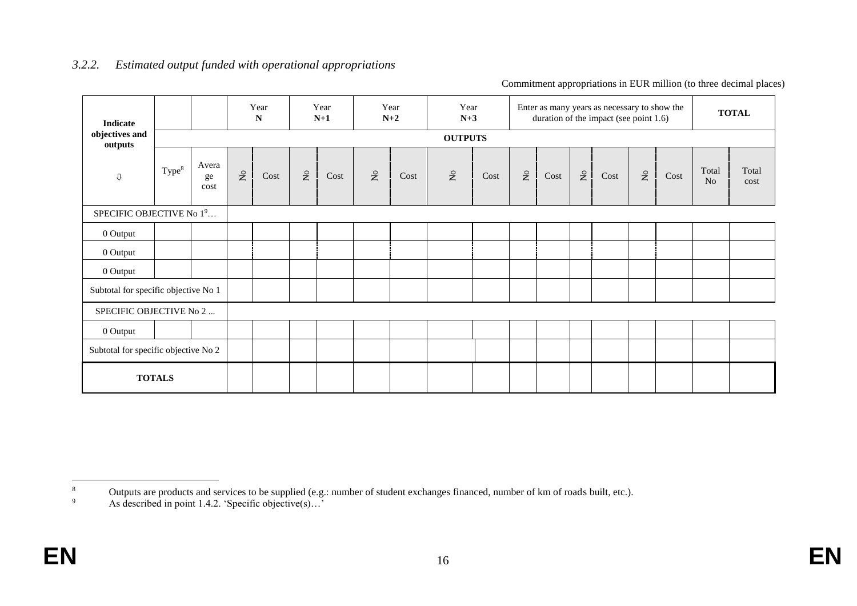| <b>Indicate</b>                      |                   |                     |                                    | Year<br>${\bf N}$ |                           | Year<br>$N+1$ |                           | Year<br>$N+2$ | Year<br>$N+3$             |      |                           |      |                           | Enter as many years as necessary to show the<br>duration of the impact (see point 1.6) |                                    |      |             | <b>TOTAL</b>  |
|--------------------------------------|-------------------|---------------------|------------------------------------|-------------------|---------------------------|---------------|---------------------------|---------------|---------------------------|------|---------------------------|------|---------------------------|----------------------------------------------------------------------------------------|------------------------------------|------|-------------|---------------|
| objectives and<br>outputs            |                   |                     |                                    |                   |                           |               |                           |               | <b>OUTPUTS</b>            |      |                           |      |                           |                                                                                        |                                    |      |             |               |
| $\mho$                               | Type <sup>8</sup> | Avera<br>ge<br>cost | $\rm \stackrel{\circ}{\mathbf{Z}}$ | Cost              | $\rm \stackrel{\circ}{Z}$ | Cost          | $\mathsf{S}^{\mathsf{O}}$ | Cost          | $\mathsf{S}^{\mathsf{o}}$ | Cost | $\mathsf{R}^{\mathsf{O}}$ | Cost | $\mathsf{S}^{\mathsf{o}}$ | Cost                                                                                   | $\rm \stackrel{\circ}{\mathbf{Z}}$ | Cost | Total<br>No | Total<br>cost |
| SPECIFIC OBJECTIVE No 19             |                   |                     |                                    |                   |                           |               |                           |               |                           |      |                           |      |                           |                                                                                        |                                    |      |             |               |
| 0 Output                             |                   |                     |                                    |                   |                           |               |                           |               |                           |      |                           |      |                           |                                                                                        |                                    |      |             |               |
| 0 Output                             |                   |                     |                                    |                   |                           |               |                           |               |                           |      |                           |      |                           |                                                                                        |                                    |      |             |               |
| 0 Output                             |                   |                     |                                    |                   |                           |               |                           |               |                           |      |                           |      |                           |                                                                                        |                                    |      |             |               |
| Subtotal for specific objective No 1 |                   |                     |                                    |                   |                           |               |                           |               |                           |      |                           |      |                           |                                                                                        |                                    |      |             |               |
| SPECIFIC OBJECTIVE No 2              |                   |                     |                                    |                   |                           |               |                           |               |                           |      |                           |      |                           |                                                                                        |                                    |      |             |               |
| 0 Output                             |                   |                     |                                    |                   |                           |               |                           |               |                           |      |                           |      |                           |                                                                                        |                                    |      |             |               |
| Subtotal for specific objective No 2 |                   |                     |                                    |                   |                           |               |                           |               |                           |      |                           |      |                           |                                                                                        |                                    |      |             |               |
| <b>TOTALS</b>                        |                   |                     |                                    |                   |                           |               |                           |               |                           |      |                           |      |                           |                                                                                        |                                    |      |             |               |

### *3.2.2. Estimated output funded with operational appropriations*

Commitment appropriations in EUR million (to three decimal places)

<sup>1</sup> <sup>8</sup> Outputs are products and services to be supplied (e.g.: number of student exchanges financed, number of km of roads built, etc.).<br>As described in point 1.4.2. Specific objective(s)

As described in point 1.4.2. 'Specific objective(s)...'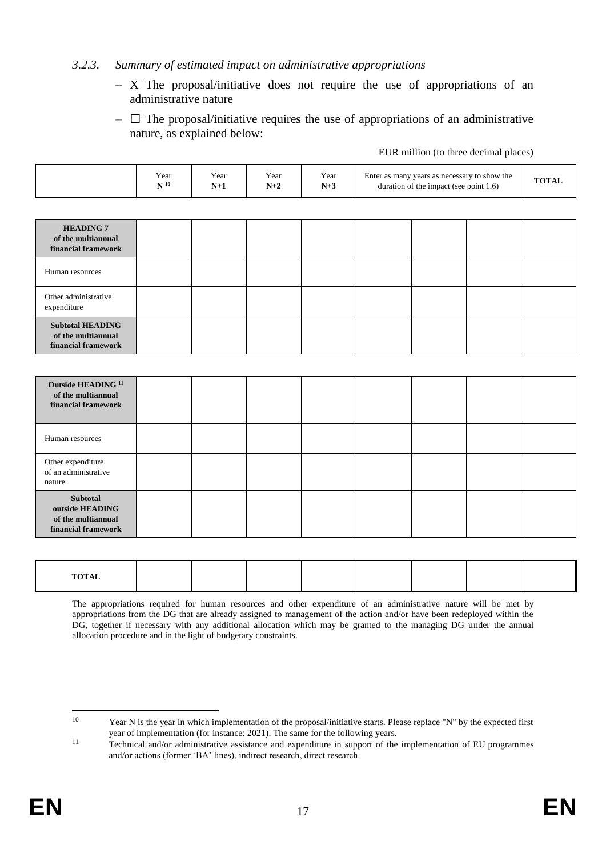### *3.2.3. Summary of estimated impact on administrative appropriations*

- X The proposal/initiative does not require the use of appropriations of an administrative nature
- $\Box$  The proposal/initiative requires the use of appropriations of an administrative nature, as explained below:

EUR million (to three decimal places)

|                                                                                 | Year<br>${\bf N}$ $^{\rm 10}$ | Year<br>$N+1$ | Year<br>$N+2$ | Year<br>$N+3$ | Enter as many years as necessary to show the<br>duration of the impact (see point 1.6) |  |  |  |
|---------------------------------------------------------------------------------|-------------------------------|---------------|---------------|---------------|----------------------------------------------------------------------------------------|--|--|--|
|                                                                                 |                               |               |               |               |                                                                                        |  |  |  |
| <b>HEADING 7</b><br>of the multiannual<br>financial framework                   |                               |               |               |               |                                                                                        |  |  |  |
| Human resources                                                                 |                               |               |               |               |                                                                                        |  |  |  |
| Other administrative<br>expenditure                                             |                               |               |               |               |                                                                                        |  |  |  |
| <b>Subtotal HEADING</b><br>of the multiannual<br>financial framework            |                               |               |               |               |                                                                                        |  |  |  |
|                                                                                 |                               |               |               |               |                                                                                        |  |  |  |
| Outside HEADING <sup>11</sup><br>of the multiannual<br>financial framework      |                               |               |               |               |                                                                                        |  |  |  |
| Human resources                                                                 |                               |               |               |               |                                                                                        |  |  |  |
| Other expenditure<br>of an administrative<br>nature                             |                               |               |               |               |                                                                                        |  |  |  |
| <b>Subtotal</b><br>outside HEADING<br>of the multiannual<br>financial framework |                               |               |               |               |                                                                                        |  |  |  |

| <b>TOTAL</b> |  |  |  |  |
|--------------|--|--|--|--|
|              |  |  |  |  |
|              |  |  |  |  |
|              |  |  |  |  |
|              |  |  |  |  |

The appropriations required for human resources and other expenditure of an administrative nature will be met by appropriations from the DG that are already assigned to management of the action and/or have been redeployed within the DG, together if necessary with any additional allocation which may be granted to the managing DG under the annual allocation procedure and in the light of budgetary constraints.

 $10$ Year N is the year in which implementation of the proposal/initiative starts. Please replace "N" by the expected first year of implementation (for instance: 2021). The same for the following years.

<sup>&</sup>lt;sup>11</sup> Technical and/or administrative assistance and expenditure in support of the implementation of EU programmes and/or actions (former 'BA' lines), indirect research, direct research.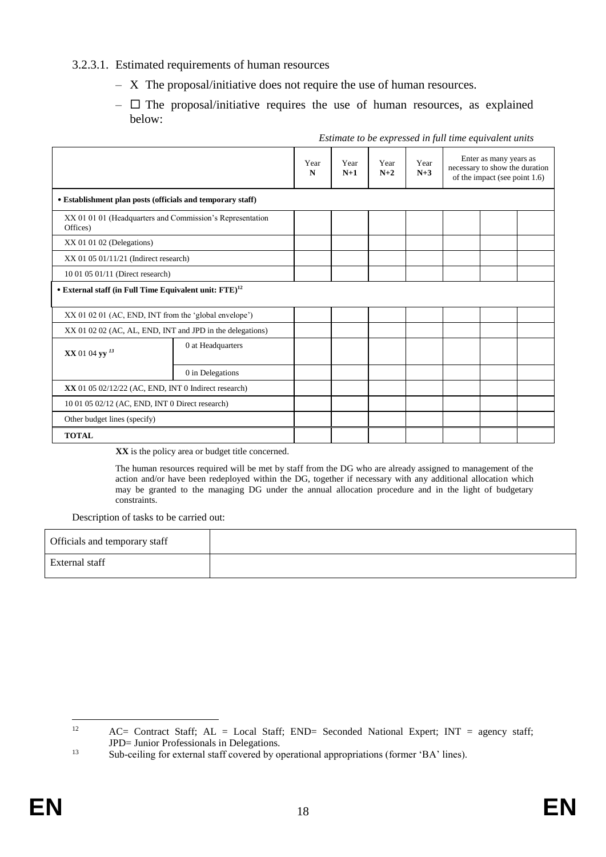### 3.2.3.1. Estimated requirements of human resources

- X The proposal/initiative does not require the use of human resources.
- $\Box$  The proposal/initiative requires the use of human resources, as explained below:

|                                                                       |                   | Year<br>N | Year<br>$N+1$ | Year<br>$N+2$ | Year<br>$N+3$ | Enter as many years as<br>necessary to show the duration<br>of the impact (see point $1.6$ ) |  |  |
|-----------------------------------------------------------------------|-------------------|-----------|---------------|---------------|---------------|----------------------------------------------------------------------------------------------|--|--|
| • Establishment plan posts (officials and temporary staff)            |                   |           |               |               |               |                                                                                              |  |  |
| XX 01 01 01 (Headquarters and Commission's Representation<br>Offices) |                   |           |               |               |               |                                                                                              |  |  |
| XX 01 01 02 (Delegations)                                             |                   |           |               |               |               |                                                                                              |  |  |
| $XX$ 01 05 01/11/21 (Indirect research)                               |                   |           |               |               |               |                                                                                              |  |  |
| 10 01 05 01/11 (Direct research)                                      |                   |           |               |               |               |                                                                                              |  |  |
| • External staff (in Full Time Equivalent unit: $FTE$ ) <sup>12</sup> |                   |           |               |               |               |                                                                                              |  |  |
| XX 01 02 01 (AC, END, INT from the 'global envelope')                 |                   |           |               |               |               |                                                                                              |  |  |
| XX 01 02 02 (AC, AL, END, INT and JPD in the delegations)             |                   |           |               |               |               |                                                                                              |  |  |
| XX 01 04 yy <sup>13</sup>                                             | 0 at Headquarters |           |               |               |               |                                                                                              |  |  |
|                                                                       | 0 in Delegations  |           |               |               |               |                                                                                              |  |  |
| XX 01 05 02/12/22 (AC, END, INT 0 Indirect research)                  |                   |           |               |               |               |                                                                                              |  |  |
| 10 01 05 02/12 (AC, END, INT 0 Direct research)                       |                   |           |               |               |               |                                                                                              |  |  |
| Other budget lines (specify)                                          |                   |           |               |               |               |                                                                                              |  |  |
| <b>TOTAL</b>                                                          |                   |           |               |               |               |                                                                                              |  |  |

*Estimate to be expressed in full time equivalent units*

**XX** is the policy area or budget title concerned.

The human resources required will be met by staff from the DG who are already assigned to management of the action and/or have been redeployed within the DG, together if necessary with any additional allocation which may be granted to the managing DG under the annual allocation procedure and in the light of budgetary constraints.

Description of tasks to be carried out:

| Officials and temporary staff |  |
|-------------------------------|--|
| External staff                |  |

 $12$ AC= Contract Staff; AL = Local Staff; END= Seconded National Expert; INT = agency staff; JPD= Junior Professionals in Delegations.

<sup>&</sup>lt;sup>13</sup> Sub-ceiling for external staff covered by operational appropriations (former 'BA' lines).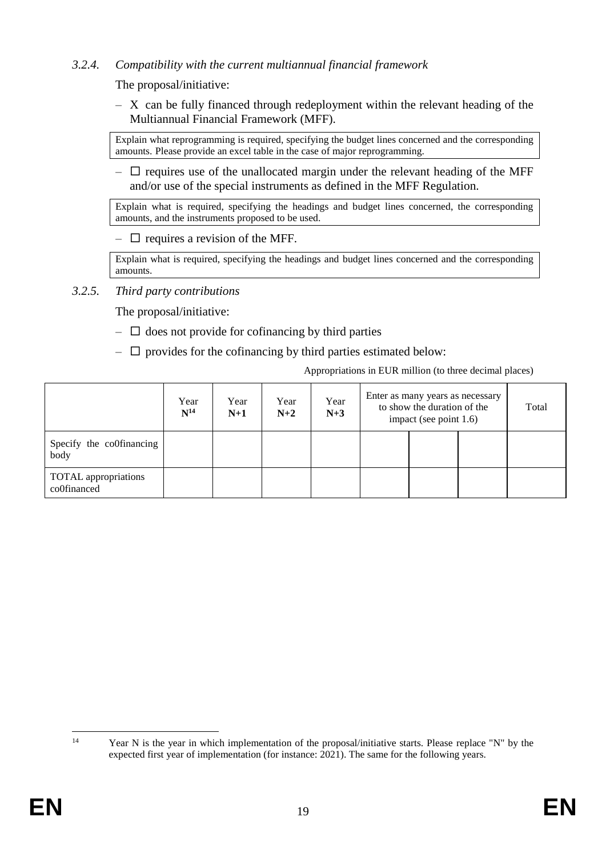## *3.2.4. Compatibility with the current multiannual financial framework*

The proposal/initiative:

– X can be fully financed through redeployment within the relevant heading of the Multiannual Financial Framework (MFF).

Explain what reprogramming is required, specifying the budget lines concerned and the corresponding amounts. Please provide an excel table in the case of major reprogramming.

 $\Box$  requires use of the unallocated margin under the relevant heading of the MFF and/or use of the special instruments as defined in the MFF Regulation.

Explain what is required, specifying the headings and budget lines concerned, the corresponding amounts, and the instruments proposed to be used.

 $\Box$  requires a revision of the MFF.

Explain what is required, specifying the headings and budget lines concerned and the corresponding amounts.

*3.2.5. Third party contributions* 

The proposal/initiative:

- $\Box$  does not provide for cofinancing by third parties
- $\Box$  provides for the cofinancing by third parties estimated below:

Appropriations in EUR million (to three decimal places)

|                                            | Year<br>$N^{14}$ | Year<br>$N+1$ | Year<br>$N+2$ | Year<br>$N+3$ | Enter as many years as necessary<br>to show the duration of the<br>impact (see point 1.6) |  |  | Total |
|--------------------------------------------|------------------|---------------|---------------|---------------|-------------------------------------------------------------------------------------------|--|--|-------|
| Specify the co0financing<br>body           |                  |               |               |               |                                                                                           |  |  |       |
| <b>TOTAL</b> appropriations<br>co0financed |                  |               |               |               |                                                                                           |  |  |       |

 $14$ Year N is the year in which implementation of the proposal/initiative starts. Please replace "N" by the expected first year of implementation (for instance: 2021). The same for the following years.